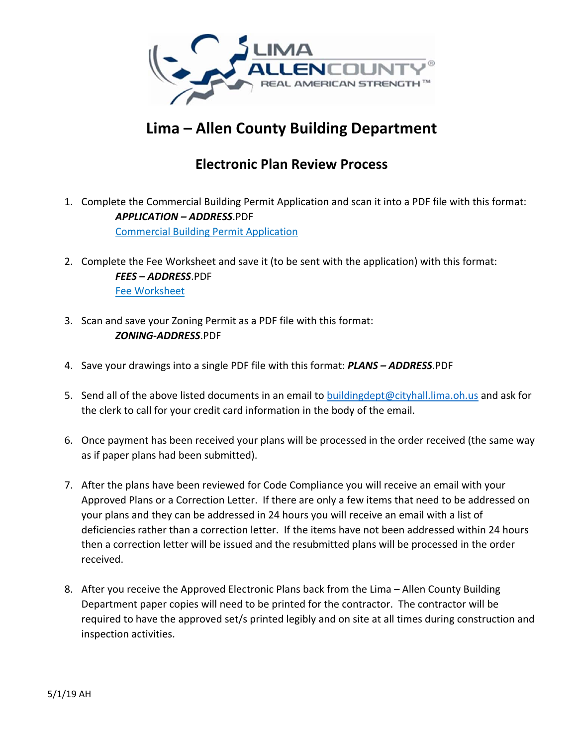

## **Lima – Allen County Building Department**

## **Electronic Plan Review Process**

- 1. Complete the Commercial Building Permit Application and scan it into a PDF file with this format: *APPLICATION – ADDRESS*.PDF Commercial Building Permit Application
- 2. Complete the Fee Worksheet and save it (to be sent with the application) with this format: *FEES – ADDRESS*.PDF Fee Worksheet
- 3. Scan and save your Zoning Permit as a PDF file with this format: *ZONING‐ADDRESS*.PDF
- 4. Save your drawings into a single PDF file with this format: *PLANS – ADDRESS*.PDF
- 5. Send all of the above listed documents in an email to buildingdept@cityhall.lima.oh.us and ask for the clerk to call for your credit card information in the body of the email.
- 6. Once payment has been received your plans will be processed in the order received (the same way as if paper plans had been submitted).
- 7. After the plans have been reviewed for Code Compliance you will receive an email with your Approved Plans or a Correction Letter. If there are only a few items that need to be addressed on your plans and they can be addressed in 24 hours you will receive an email with a list of deficiencies rather than a correction letter. If the items have not been addressed within 24 hours then a correction letter will be issued and the resubmitted plans will be processed in the order received.
- 8. After you receive the Approved Electronic Plans back from the Lima Allen County Building Department paper copies will need to be printed for the contractor. The contractor will be required to have the approved set/s printed legibly and on site at all times during construction and inspection activities.